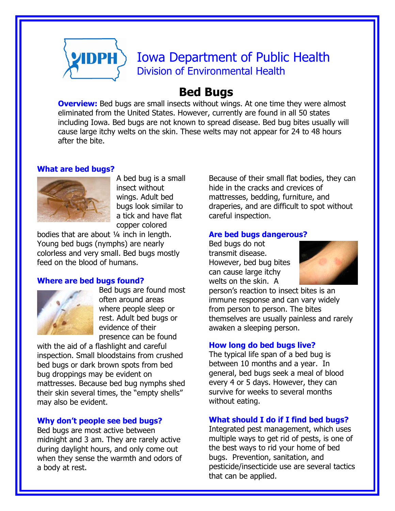

# Iowa Department of Public Health Division of Environmental Health

# **Bed Bugs**

**Overview:** Bed bugs are small insects without wings. At one time they were almost eliminated from the United States. However, currently are found in all 50 states including Iowa. Bed bugs are not known to spread disease. Bed bug bites usually will cause large itchy welts on the skin. These welts may not appear for 24 to 48 hours after the bite.

#### **What are bed bugs?**



A bed bug is a small insect without wings. Adult bed bugs look similar to a tick and have flat copper colored

bodies that are about ¼ inch in length. Young bed bugs (nymphs) are nearly colorless and very small. Bed bugs mostly feed on the blood of humans.

#### **Where are bed bugs found?**



Bed bugs are found most often around areas where people sleep or rest. Adult bed bugs or evidence of their presence can be found

with the aid of a flashlight and careful inspection. Small bloodstains from crushed bed bugs or dark brown spots from bed bug droppings may be evident on mattresses. Because bed bug nymphs shed their skin several times, the "empty shells" may also be evident.

## **Why don't people see bed bugs?**

Bed bugs are most active between midnight and 3 am. They are rarely active during daylight hours, and only come out when they sense the warmth and odors of a body at rest.

Because of their small flat bodies, they can hide in the cracks and crevices of mattresses, bedding, furniture, and draperies, and are difficult to spot without careful inspection.

#### **Are bed bugs dangerous?**

Bed bugs do not transmit disease. However, bed bug bites can cause large itchy welts on the skin. A



person's reaction to insect bites is an immune response and can vary widely from person to person. The bites themselves are usually painless and rarely awaken a sleeping person.

#### **How long do bed bugs live?**

The typical life span of a bed bug is between 10 months and a year. In general, bed bugs seek a meal of blood every 4 or 5 days. However, they can survive for weeks to several months without eating.

#### **What should I do if I find bed bugs?**

Integrated pest management, which uses multiple ways to get rid of pests, is one of the best ways to rid your home of bed bugs. Prevention, sanitation, and pesticide/insecticide use are several tactics that can be applied.